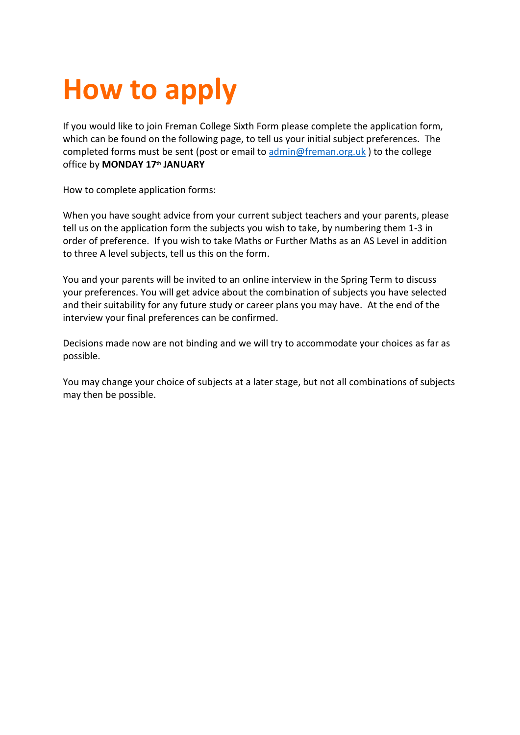## **How to apply**

If you would like to join Freman College Sixth Form please complete the application form, which can be found on the following page, to tell us your initial subject preferences. The completed forms must be sent (post or email t[o admin@freman.org.uk](mailto:admin@freman.org.uk)) to the college office by **MONDAY 17th JANUARY** 

How to complete application forms:

When you have sought advice from your current subject teachers and your parents, please tell us on the application form the subjects you wish to take, by numbering them 1-3 in order of preference. If you wish to take Maths or Further Maths as an AS Level in addition to three A level subjects, tell us this on the form.

You and your parents will be invited to an online interview in the Spring Term to discuss your preferences. You will get advice about the combination of subjects you have selected and their suitability for any future study or career plans you may have. At the end of the interview your final preferences can be confirmed.

Decisions made now are not binding and we will try to accommodate your choices as far as possible.

You may change your choice of subjects at a later stage, but not all combinations of subjects may then be possible.